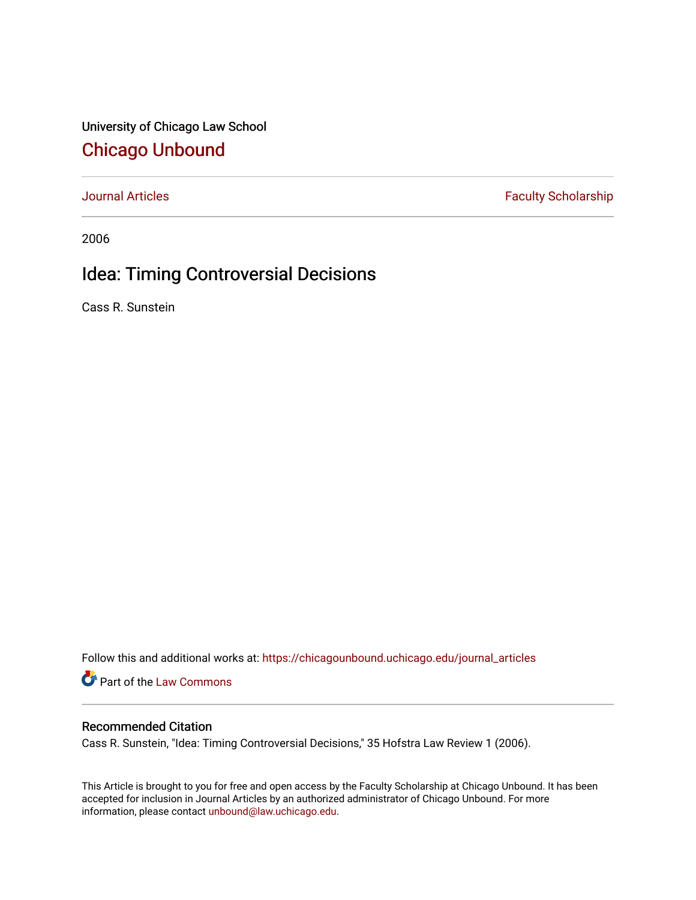University of Chicago Law School [Chicago Unbound](https://chicagounbound.uchicago.edu/)

[Journal Articles](https://chicagounbound.uchicago.edu/journal_articles) **Faculty Scholarship Faculty Scholarship** 

2006

# Idea: Timing Controversial Decisions

Cass R. Sunstein

Follow this and additional works at: [https://chicagounbound.uchicago.edu/journal\\_articles](https://chicagounbound.uchicago.edu/journal_articles?utm_source=chicagounbound.uchicago.edu%2Fjournal_articles%2F8396&utm_medium=PDF&utm_campaign=PDFCoverPages) 

Part of the [Law Commons](http://network.bepress.com/hgg/discipline/578?utm_source=chicagounbound.uchicago.edu%2Fjournal_articles%2F8396&utm_medium=PDF&utm_campaign=PDFCoverPages)

### Recommended Citation

Cass R. Sunstein, "Idea: Timing Controversial Decisions," 35 Hofstra Law Review 1 (2006).

This Article is brought to you for free and open access by the Faculty Scholarship at Chicago Unbound. It has been accepted for inclusion in Journal Articles by an authorized administrator of Chicago Unbound. For more information, please contact [unbound@law.uchicago.edu](mailto:unbound@law.uchicago.edu).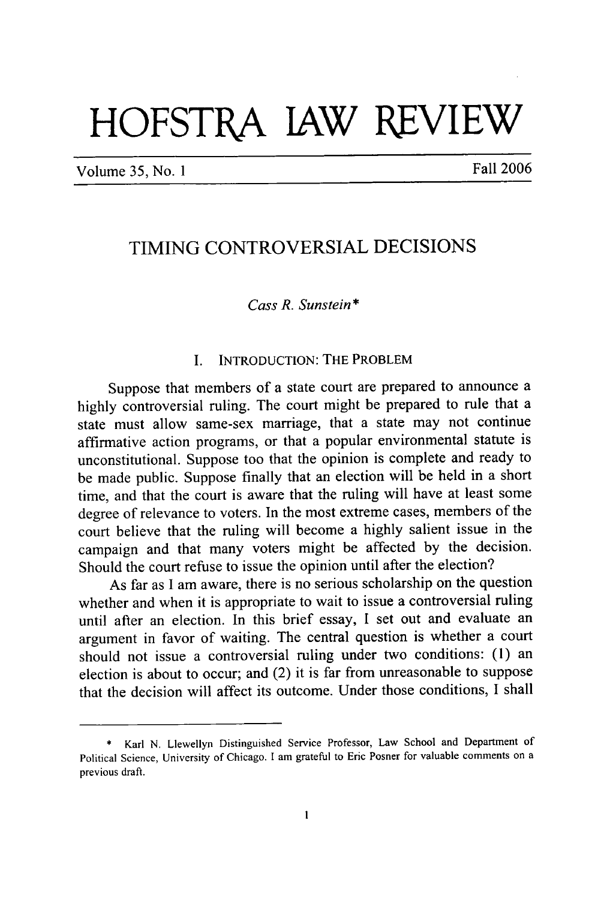# **HOFSTRA lAW REVIEW**

Volume *35,* No. 1 Fall 2006

## TIMING CONTROVERSIAL DECISIONS

#### *Cass R. Sunstein* **\***

#### I. **INTRODUCTION:** THE PROBLEM

Suppose that members of a state court are prepared to announce a highly controversial ruling. The court might be prepared to rule that a state must allow same-sex marriage, that a state may not continue affirmative action programs, or that a popular environmental statute is unconstitutional. Suppose too that the opinion is complete and ready to be made public. Suppose finally that an election will be held in a short time, and that the court is aware that the ruling will have at least some degree of relevance to voters. In the most extreme cases, members of the court believe that the ruling will become a highly salient issue in the campaign and that many voters might be affected by the decision. Should the court refuse to issue the opinion until after the election?

As far as I am aware, there is no serious scholarship on the question whether and when it is appropriate to wait to issue a controversial ruling until after an election. In this brief essay, I set out and evaluate an argument in favor of waiting. The central question is whether a court should not issue a controversial ruling under two conditions: (1) an election is about to occur; and (2) it is far from unreasonable to suppose that the decision will affect its outcome. Under those conditions, I shall

<sup>\*</sup> Karl N. Llewellyn Distinguished Service Professor, Law School and Department of Political Science, University of Chicago. **I** am grateful to Eric Posner for valuable comments on a previous draft.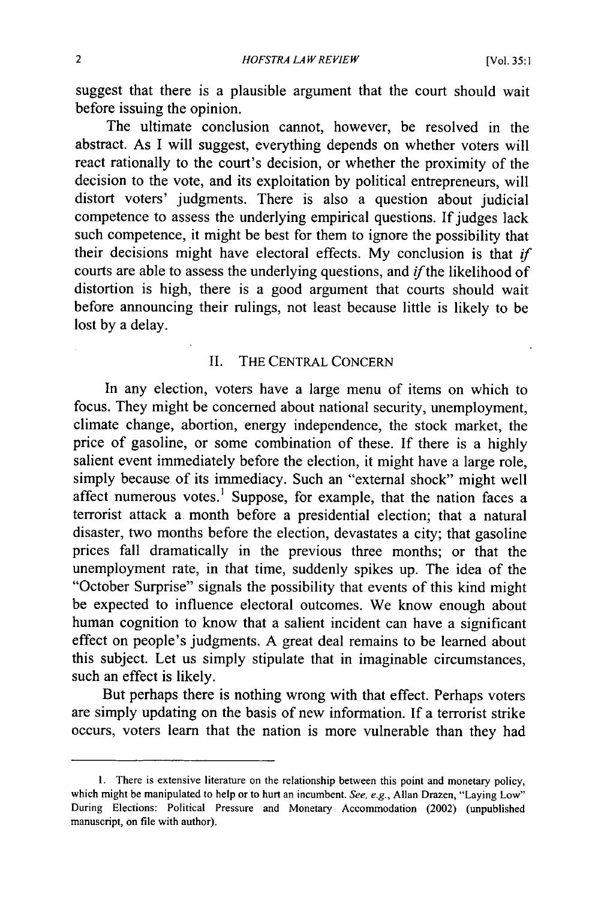suggest that there is a plausible argument that the court should wait before issuing the opinion.

The ultimate conclusion cannot, however, be resolved in the abstract. As I will suggest, everything depends on whether voters will react rationally to the court's decision, or whether the proximity of the decision to the vote, and its exploitation by political entrepreneurs, will distort voters' judgments. There is also a question about judicial competence to assess the underlying empirical questions. If judges lack such competence, it might be best for them to ignore the possibility that their decisions might have electoral effects. My conclusion is that *if* courts are able to assess the underlying questions, and *ifthe* likelihood of distortion is high, there is a good argument that courts should wait before announcing their rulings, not least because little is likely to be lost by a delay.

#### II. THE CENTRAL CONCERN

In any election, voters have a large menu of items on which to focus. They might be concerned about national security, unemployment, climate change, abortion, energy independence, the stock market, the price of gasoline, or some combination of these. If there is a highly salient event immediately before the election, it might have a large role, simply because of its immediacy. Such an "external shock" might well affect numerous votes.' Suppose, for example, that the nation faces a terrorist attack a. month before a presidential election; that a natural disaster, two months before the election, devastates a city; that gasoline prices fall dramatically in the previous three months; or that the unemployment rate, in that time, suddenly spikes up. The idea of the "October Surprise" signals the possibility that events of this kind might be expected to influence electoral outcomes. We know enough about human cognition to know that a salient incident can have a significant effect on people's judgments. A great deal remains to be learned about this subject. Let us simply stipulate that in imaginable circumstances, such an effect is likely.

But perhaps there is nothing wrong with that effect. Perhaps voters are simply updating on the basis of new information. If a terrorist strike occurs, voters learn that the nation is more vulnerable than they had

**<sup>1.</sup>** There is extensive literature on the relationship between this point and monetary policy, which might be manipulated to help or to hurt an incumbent. See, e.g., Allan Drazen, "Laying Low" During Elections: Political Pressure and Monetary Accommodation (2002) (unpublished manuscript, on file with author).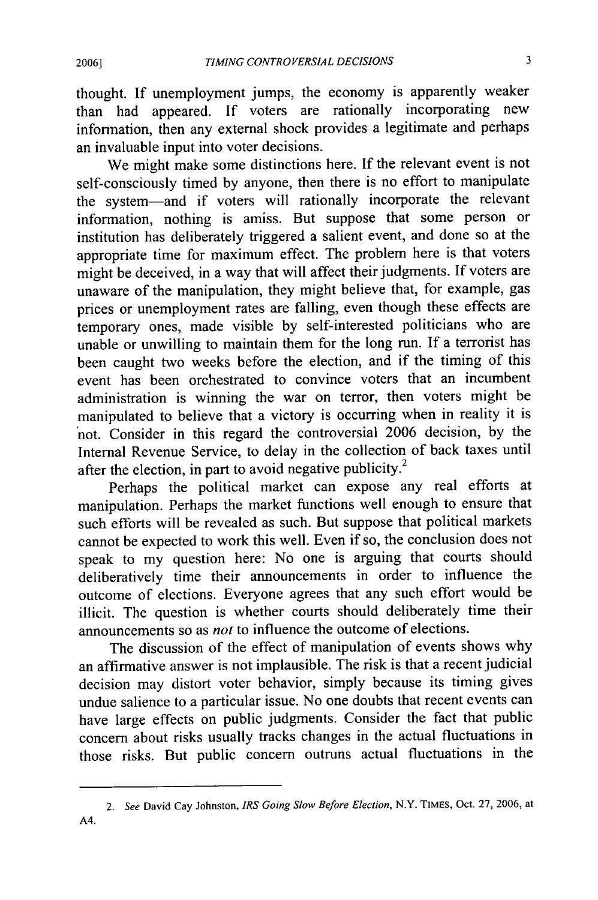**2006]**

thought. If unemployment jumps, the economy is apparently weaker than had appeared. If voters are rationally incorporating new information, then any external shock provides a legitimate and perhaps an invaluable input into voter decisions.

We might make some distinctions here. If the relevant event is not self-consciously timed by anyone, then there is no effort to manipulate the system-and if voters will rationally incorporate the relevant information, nothing is amiss. But suppose that some person or institution has deliberately triggered a salient event, and done so at the appropriate time for maximum effect. The problem here is that voters might be deceived, in a way that will affect their judgments. If voters are unaware of the manipulation, they might believe that, for example, gas prices or unemployment rates are falling, even though these effects are temporary ones, made visible by self-interested politicians who are unable or unwilling to maintain them for the long run. If a terrorist has been caught two weeks before the election, and if the timing of this event has been orchestrated to convince voters that an incumbent administration is winning the war on terror, then voters might be manipulated to believe that a victory is occurring when in reality it is not. Consider in this regard the controversial 2006 decision, by the Internal Revenue Service, to delay in the collection of back taxes until after the election, in part to avoid negative publicity.<sup>2</sup>

Perhaps the political market can expose any real efforts at manipulation. Perhaps the market functions well enough to ensure that such efforts will be revealed as such. But suppose that political markets cannot be expected to work this well. Even if so, the conclusion does not speak to my question here: No one is arguing that courts should deliberatively time their announcements in order to influence the outcome of elections. Everyone agrees that any such effort would be illicit. The question is whether courts should deliberately time their announcements so as *not* to influence the outcome of elections.

The discussion of the effect of manipulation of events shows why an affirmative answer is not implausible. The risk is that a recent judicial decision may distort voter behavior, simply because its timing gives undue salience to a particular issue. No one doubts that recent events can have large effects on public judgments. Consider the fact that public concern about risks usually tracks changes in the actual fluctuations in those risks. But public concern outruns actual fluctuations in the

*<sup>2.</sup>* See David Cay Johnston, IRS Going *Slow Before Election,* N.Y. TIMES, Oct. 27, 2006, at A4.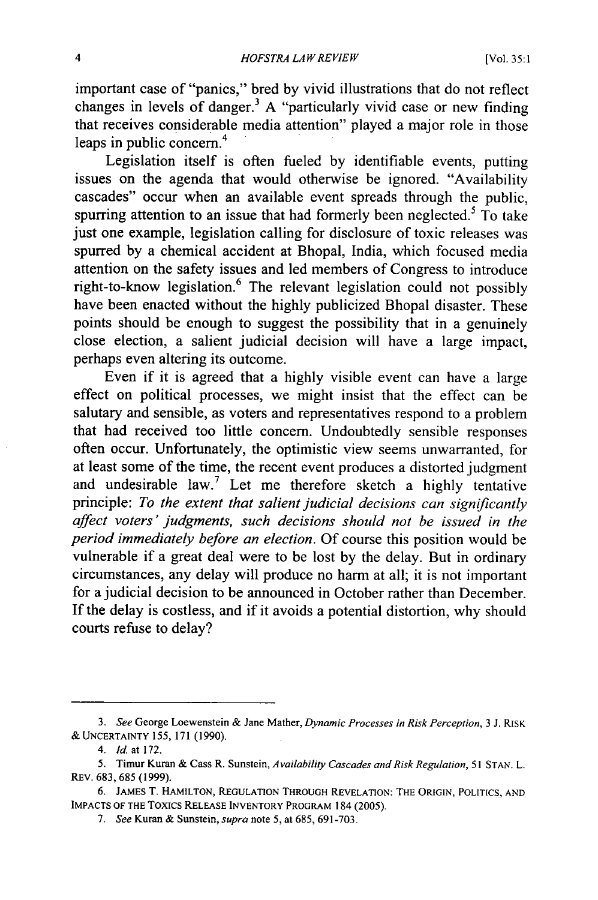important case of "panics," bred by vivid illustrations that do not reflect changes in levels of danger.<sup>3</sup> A "particularly vivid case or new finding that receives considerable media attention" played a major role in those leaps in public concern.<sup>4</sup>

Legislation itself is often fueled by identifiable events, putting issues on the agenda that would otherwise be ignored. "Availability cascades" occur when an available event spreads through the public, spurring attention to an issue that had formerly been neglected.<sup>5</sup> To take just one example, legislation calling for disclosure of toxic releases was spurred by a chemical accident at Bhopal, India, which focused media attention on the safety issues and led members of Congress to introduce right-to-know legislation.6 The relevant legislation could not possibly have been enacted without the highly publicized Bhopal disaster. These points should be enough to suggest the possibility that in a genuinely close election, a salient judicial decision will have a large impact, perhaps even altering its outcome.

Even if it is agreed that a highly visible event can have a large effect on political processes, we might insist that the effect can be salutary and sensible, as voters and representatives respond to a problem that had received too little concern. Undoubtedly sensible responses often occur. Unfortunately, the optimistic view seems unwarranted, for at least some of the time, the recent event produces a distorted judgment and undesirable law.7 Let me therefore sketch a highly tentative principle: *To the extent that salient judicial decisions can significantly affect voters' judgments, such decisions should not be issued in the period immediately before an election.* Of course this position would be vulnerable if a great deal were to be lost by the delay. But in ordinary circumstances, any delay will produce no harm at all; it is not important for a judicial decision to be announced in October rather than December. If the delay is costless, and if it avoids a potential distortion, why should courts refuse to delay?

*<sup>3.</sup> See* George Loewenstein & Jane Mather, *Dynamic Processes in Risk Perception,* 3 J. RISK **&** UNCERTAINTY 155, 171 **(1990).**

<sup>4.</sup> *ld* at 172.

<sup>5.</sup> Timur Kuran & Cass R. Sunstein, *Availability Cascades and Risk Regulation,* **51** STAN. L. REV. 683, 685 (1999).

**<sup>6.</sup>** JAMES T. HAMILTON, **REGULATION** THROUGH REVELATION: THE ORIGIN, **POLITICS, AND IMPACTS** OF THE Toxics **RELEASE** INVENTORY PROGRAM 184 **(2005).**

*<sup>7.</sup> See* Kuran & Sunstein, *supra* note 5, at 685, 691-703.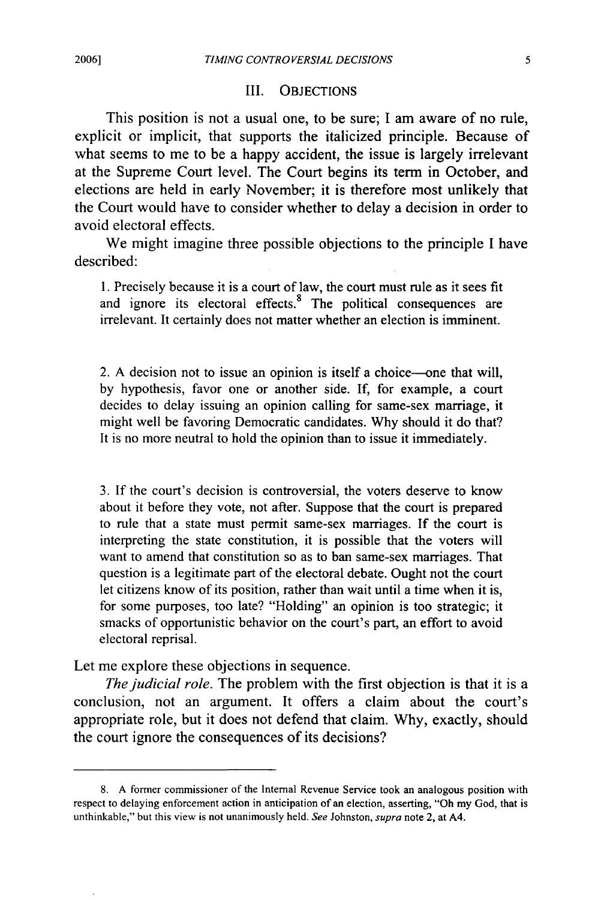#### III. OBJECTIONS

This position is not a usual one, to be sure; I am aware of no rule, explicit or implicit, that supports the italicized principle. Because of what seems to me to be a happy accident, the issue is largely irrelevant at the Supreme Court level. The Court begins its term in October, and elections are held in early November; it is therefore most unlikely that the Court would have to consider whether to delay a decision in order to avoid electoral effects.

We might imagine three possible objections to the principle I have described:

1. Precisely because it is a court of law, the court must rule as it sees fit and ignore its electoral effects. $8$  The political consequences are irrelevant. It certainly does not matter whether an election is imminent.

2. A decision not to issue an opinion is itself a choice-one that will, by hypothesis, favor one or another side. If, for example, a court decides to delay issuing an opinion calling for same-sex marriage, it might well be favoring Democratic candidates. Why should it do that? It is no more neutral to hold the opinion than to issue it immediately.

3. If the court's decision is controversial, the voters deserve to know about it before they vote, not after. Suppose that the court is prepared to rule that a state must permit same-sex marriages. If the court is interpreting the state constitution, it is possible that the voters will want to amend that constitution so as to ban same-sex marriages. That question is a legitimate part of the electoral debate. Ought not the court let citizens know of its position, rather than wait until a time when it is, for some purposes, too late? "Holding" an opinion is too strategic; it smacks of opportunistic behavior on the court's part, an effort to avoid electoral reprisal.

Let me explore these objections in sequence.

*The judicial role.* The problem with the first objection is that it is a conclusion, not an argument. It offers a claim about the court's appropriate role, but it does not defend that claim. Why, exactly, should the court ignore the consequences of its decisions?

<sup>8.</sup> A former commissioner of the Internal Revenue Service took an analogous position with respect to delaying enforcement action in anticipation of an election, asserting, "Oh my God, that is unthinkable," but this view is not unanimously held. *See* Johnston, supra note 2, at A4.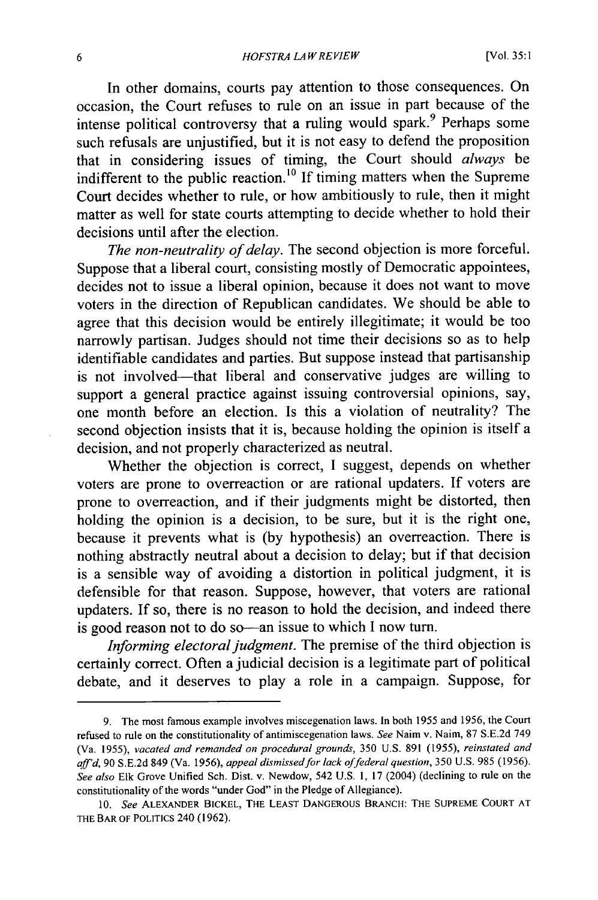In other domains, courts pay attention to those consequences. On occasion, the Court refuses to rule on an issue in part because of the intense political controversy that a ruling would spark.<sup>9</sup> Perhaps some such refusals are unjustified, but it is not easy to defend the proposition that in considering issues of timing, the Court should *always* be indifferent to the public reaction.<sup>10</sup> If timing matters when the Supreme Court decides whether to rule, or how ambitiously to rule, then it might matter as well for state courts attempting to decide whether to hold their decisions until after the election.

*The non-neutrality of delay.* The second objection is more forceful. Suppose that a liberal court, consisting mostly of Democratic appointees, decides not to issue a liberal opinion, because it does not want to move voters in the direction of Republican candidates. We should be able to agree that this decision would be entirely illegitimate; it would be too narrowly partisan. Judges should not time their decisions so as to help identifiable candidates and parties. But suppose instead that partisanship is not involved-that liberal and conservative judges are willing to support a general practice against issuing controversial opinions, say, one month before an election. Is this a violation of neutrality? The second objection insists that it is, because holding the opinion is itself a decision, and not properly characterized as neutral.

Whether the objection is correct, I suggest, depends on whether voters are prone to overreaction or are rational updaters. If voters are prone to overreaction, and if their judgments might be distorted, then holding the opinion is a decision, to be sure, but it is the right one, because it prevents what is (by hypothesis) an overreaction. There is nothing abstractly neutral about a decision to delay; but if that decision is a sensible way of avoiding a distortion in political judgment, it is defensible for that reason. Suppose, however, that voters are rational updaters. If so, there is no reason to hold the decision, and indeed there is good reason not to do so—an issue to which I now turn.

*Informing electoral judgment.* The premise of the third objection is certainly correct. Often a judicial decision is a legitimate part of political debate, and it deserves to play a role in a campaign. Suppose, for

<sup>9.</sup> The most famous example involves miscegenation laws. In both 1955 and 1956, the Court refused to rule on the constitutionality of antimiscegenation laws. See Naim v. Naim, 87 S.E.2d 749 (Va. 1955), vacated and remanded *on* procedural grounds, 350 U.S. 891 (1955), reinstated and aff'd, 90 S.E.2d 849 (Va. 1956), appeal dismissed for lack of federal question, 350 U.S. 985 (1956). See also Elk Grove Unified Sch. Dist. v. Newdow, 542 U.S. 1, 17 (2004) (declining to rule on the constitutionality of the words "under God" in the Pledge of Allegiance).

**<sup>10.</sup>** See ALEXANDER BICKEL, **THE LEAST DANGEROUS** BRANCH: **THE SUPREME COURT AT THE BAR** OF POLITICS 240 (1962).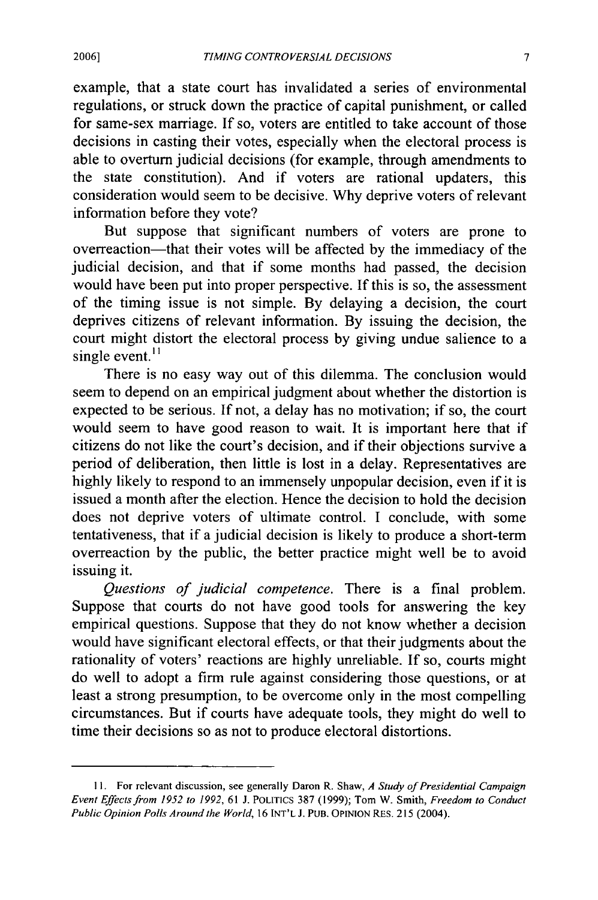example, that a state court has invalidated a series of environmental regulations, or struck down the practice of capital punishment, or called for same-sex marriage. If so, voters are entitled to take account of those decisions in casting their votes, especially when the electoral process is able to overturn judicial decisions (for example, through amendments to the state constitution). And if voters are rational updaters, this consideration would seem to be decisive. Why deprive voters of relevant information before they vote?

But suppose that significant numbers of voters are prone to overreaction-that their votes will be affected by the immediacy of the judicial decision, and that if some months had passed, the decision would have been put into proper perspective. If this is so, the assessment of the timing issue is not simple. By delaying a decision, the court deprives citizens of relevant information. By issuing the decision, the court might distort the electoral process by giving undue salience to a single event. $^{11}$ 

There is no easy way out of this dilemma. The conclusion would seem to depend on an empirical judgment about whether the distortion is expected to be serious. If not, a delay has no motivation; if so, the court would seem to have good reason to wait. It is important here that if citizens do not like the court's decision, and if their objections survive a period of deliberation, then little is lost in a delay. Representatives are highly likely to respond to an immensely unpopular decision, even if it is issued a month after the election. Hence the decision to hold the decision does not deprive voters of ultimate control. I conclude, with some tentativeness, that if a judicial decision is likely to produce a short-term overreaction by the public, the better practice might well be to avoid issuing it.

*Questions of judicial competence.* There is a final problem. Suppose that courts do not have good tools for answering the key empirical questions. Suppose that they do not know whether a decision would have significant electoral effects, or that their judgments about the rationality of voters' reactions are highly unreliable. If so, courts might do well to adopt a firm rule against considering those questions, or at least a strong presumption, to be overcome only in the most compelling circumstances. But if courts have adequate tools, they might do well to time their decisions so as not to produce electoral distortions.

**<sup>11.</sup>** For relevant discussion, see generally Daron R. Shaw, *A Study of Presidential Campaign Event Effects from 1952 to 1992,* 61 J. POLITICS 387 (1999); Tom W. Smith, *Freedom to Conduct Public Opinion Polls Around the World,* 16 INT'L *J.* PUB. OPINION RES. 215 (2004).